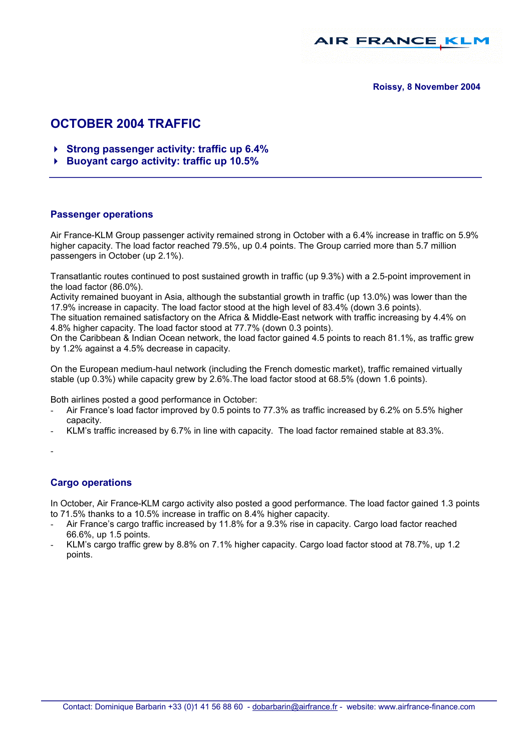

**Roissy, 8 November 2004** 

# **OCTOBER 2004 TRAFFIC**

- -**Strong passenger activity: traffic up 6.4%**
- -**Buoyant cargo activity: traffic up 10.5%**

### **Passenger operations**

Air France-KLM Group passenger activity remained strong in October with a 6.4% increase in traffic on 5.9% higher capacity. The load factor reached 79.5%, up 0.4 points. The Group carried more than 5.7 million passengers in October (up 2.1%).

Transatlantic routes continued to post sustained growth in traffic (up 9.3%) with a 2.5-point improvement in the load factor (86.0%).

Activity remained buoyant in Asia, although the substantial growth in traffic (up 13.0%) was lower than the 17.9% increase in capacity. The load factor stood at the high level of 83.4% (down 3.6 points).

The situation remained satisfactory on the Africa & Middle-East network with traffic increasing by 4.4% on 4.8% higher capacity. The load factor stood at 77.7% (down 0.3 points).

On the Caribbean & Indian Ocean network, the load factor gained 4.5 points to reach 81.1%, as traffic grew by 1.2% against a 4.5% decrease in capacity.

On the European medium-haul network (including the French domestic market), traffic remained virtually stable (up 0.3%) while capacity grew by 2.6%.The load factor stood at 68.5% (down 1.6 points).

Both airlines posted a good performance in October:

- Air France's load factor improved by 0.5 points to 77.3% as traffic increased by 6.2% on 5.5% higher capacity.
- KLM's traffic increased by 6.7% in line with capacity. The load factor remained stable at 83.3%.
- -

## **Cargo operations**

In October, Air France-KLM cargo activity also posted a good performance. The load factor gained 1.3 points to 71.5% thanks to a 10.5% increase in traffic on 8.4% higher capacity.

- Air France's cargo traffic increased by 11.8% for a 9.3% rise in capacity. Cargo load factor reached 66.6%, up 1.5 points.
- KLM's cargo traffic grew by 8.8% on 7.1% higher capacity. Cargo load factor stood at 78.7%, up 1.2 points.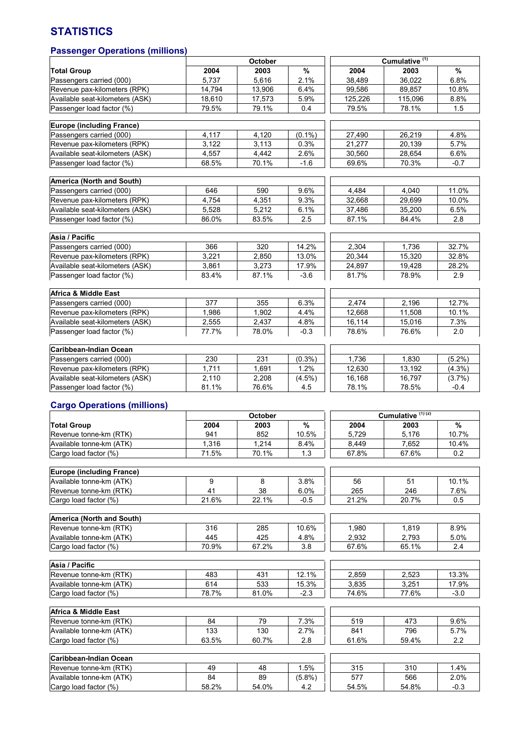## **STATISTICS**

## **Passenger Operations (millions)**

|                                    | October |         |           | Cumulative <sup>(1)</sup> |                              |           |
|------------------------------------|---------|---------|-----------|---------------------------|------------------------------|-----------|
| <b>Total Group</b>                 | 2004    | 2003    | $\%$      | 2004                      | 2003                         | %         |
| Passengers carried (000)           | 5,737   | 5,616   | 2.1%      | 38,489                    | 36,022                       | 6.8%      |
| Revenue pax-kilometers (RPK)       | 14,794  | 13,906  | 6.4%      | 99.586                    | 89,857                       | 10.8%     |
| Available seat-kilometers (ASK)    | 18,610  | 17,573  | 5.9%      | 125,226                   | 115,096                      | 8.8%      |
| Passenger load factor (%)          | 79.5%   | 79.1%   | 0.4       | 79.5%                     | 78.1%                        | 1.5       |
|                                    |         |         |           |                           |                              |           |
| <b>Europe (including France)</b>   |         |         |           |                           |                              |           |
| Passengers carried (000)           | 4,117   | 4,120   | $(0.1\%)$ | 27,490                    | 26,219                       | 4.8%      |
| Revenue pax-kilometers (RPK)       | 3,122   | 3,113   | 0.3%      | 21,277                    | 20.139                       | 5.7%      |
| Available seat-kilometers (ASK)    | 4,557   | 4,442   | 2.6%      | 30,560                    | 28,654                       | 6.6%      |
| Passenger load factor (%)          | 68.5%   | 70.1%   | $-1.6$    | 69.6%                     | 70.3%                        | $-0.7$    |
|                                    |         |         |           |                           |                              |           |
| America (North and South)          |         |         |           |                           |                              |           |
|                                    |         |         |           |                           |                              |           |
| Passengers carried (000)           | 646     | 590     | $9.6\%$   | 4,484                     | 4,040                        | 11.0%     |
| Revenue pax-kilometers (RPK)       | 4,754   | 4,351   | $9.3\%$   | 32,668                    | 29,699                       | 10.0%     |
| Available seat-kilometers (ASK)    | 5,528   | 5,212   | 6.1%      | 37,486                    | 35,200                       | 6.5%      |
| Passenger load factor (%)          | 86.0%   | 83.5%   | 2.5       | 87.1%                     | 84.4%                        | 2.8       |
|                                    |         |         |           |                           |                              |           |
| Asia / Pacific                     |         |         |           |                           |                              |           |
| Passengers carried (000)           | 366     | 320     | 14.2%     | 2.304                     | 1.736                        | 32.7%     |
| Revenue pax-kilometers (RPK)       | 3,221   | 2,850   | 13.0%     | 20,344                    | 15,320                       | 32.8%     |
| Available seat-kilometers (ASK)    | 3,861   | 3,273   | 17.9%     | 24,897                    | 19,428                       | 28.2%     |
| Passenger load factor (%)          | 83.4%   | 87.1%   | $-3.6$    | 81.7%                     | 78.9%                        | 2.9       |
|                                    |         |         |           |                           |                              |           |
| Africa & Middle East               |         |         |           |                           |                              |           |
| Passengers carried (000)           | 377     | 355     | 6.3%      | 2,474                     | 2.196                        | 12.7%     |
| Revenue pax-kilometers (RPK)       | 1,986   | 1,902   | 4.4%      | 12,668                    | 11,508                       | 10.1%     |
| Available seat-kilometers (ASK)    | 2,555   | 2,437   | 4.8%      | 16,114                    | 15,016                       | 7.3%      |
| Passenger load factor (%)          | 77.7%   | 78.0%   | $-0.3$    | 78.6%                     | 76.6%                        | 2.0       |
|                                    |         |         |           |                           |                              |           |
| Caribbean-Indian Ocean             |         |         |           |                           |                              |           |
| Passengers carried (000)           | 230     | 231     | $(0.3\%)$ | 1,736                     | 1,830                        | $(5.2\%)$ |
| Revenue pax-kilometers (RPK)       | 1,711   | 1,691   | 1.2%      | 12,630                    | 13,192                       | $(4.3\%)$ |
|                                    |         |         |           |                           |                              |           |
| Available seat-kilometers (ASK)    | 2,110   | 2,208   | $(4.5\%)$ | 16,168                    | 16,797                       | (3.7%)    |
| Passenger load factor (%)          | 81.1%   | 76.6%   | 4.5       | 78.1%                     | 78.5%                        | $-0.4$    |
|                                    |         |         |           |                           |                              |           |
| <b>Cargo Operations (millions)</b> |         |         |           |                           |                              |           |
|                                    |         | October |           |                           | Cumulative <sup>(1)(2)</sup> |           |
| <b>Total Group</b>                 | 2004    | 2003    | $\%$      | 2004                      | 2003                         | %         |
| Revenue tonne-km (RTK)             | 941     | 852     | 10.5%     | 5,729                     | 5,176                        | 10.7%     |
| Available tonne-km (ATK)           | 1,316   | 1,214   | $8.4\%$   | 8,449                     | 7,652                        | 10.4%     |
| Cargo load factor (%)              | 71.5%   | 70.1%   | 1.3       | 67.8%                     | 67.6%                        | 0.2       |
|                                    |         |         |           |                           |                              |           |
| <b>Europe (including France)</b>   |         |         |           |                           |                              |           |
| Available tonne-km (ATK)           | 9       | 8       | 3.8%      | 56                        | 51                           | 10.1%     |
| Revenue tonne-km (RTK)             | 41      | 38      | 6.0%      | 265                       | 246                          | 7.6%      |
| Cargo load factor (%)              | 21.6%   | 22.1%   | $-0.5$    | 21.2%                     | 20.7%                        | 0.5       |
|                                    |         |         |           |                           |                              |           |
| America (North and South)          |         |         |           |                           |                              |           |
| Revenue tonne-km (RTK)             | 316     | 285     | 10.6%     | 1,980                     | 1,819                        | 8.9%      |
| Available tonne-km (ATK)           | 445     | 425     | 4.8%      | 2,932                     | 2,793                        | 5.0%      |
| Cargo load factor (%)              | 70.9%   | 67.2%   | 3.8       | 67.6%                     | 65.1%                        | 2.4       |
|                                    |         |         |           |                           |                              |           |
| Asia / Pacific                     |         |         |           |                           |                              |           |
| Revenue tonne-km (RTK)             | 483     | 431     | 12.1%     | 2,859                     | 2,523                        | 13.3%     |
| Available tonne-km (ATK)           | 614     | 533     | 15.3%     | 3,835                     | 3,251                        | 17.9%     |
| Cargo load factor (%)              | 78.7%   | 81.0%   | $-2.3$    | 74.6%                     | 77.6%                        | $-3.0$    |
|                                    |         |         |           |                           |                              |           |
| Africa & Middle East               |         |         |           |                           |                              |           |
| Revenue tonne-km (RTK)             | 84      | 79      | 7.3%      | 519                       | 473                          | $9.6\%$   |
| Available tonne-km (ATK)           | 133     | 130     | 2.7%      | 841                       | 796                          | 5.7%      |
|                                    |         |         |           |                           |                              |           |
| Cargo load factor (%)              | 63.5%   | 60.7%   | 2.8       | 61.6%                     | 59.4%                        | 2.2       |
| Caribbean-Indian Ocean             |         |         |           |                           |                              |           |
|                                    |         |         |           |                           |                              |           |
| Revenue tonne-km (RTK)             | 49      | 48      | 1.5%      | 315                       | 310                          | 1.4%      |

Available tonne-km (ATK) | 84 | 89 | (5.8%) | 577 | 566 | 2.0% Cargo load factor (%) | 58.2% | 54.0% | 4.2 | 54.5% | 54.8% | -0.3